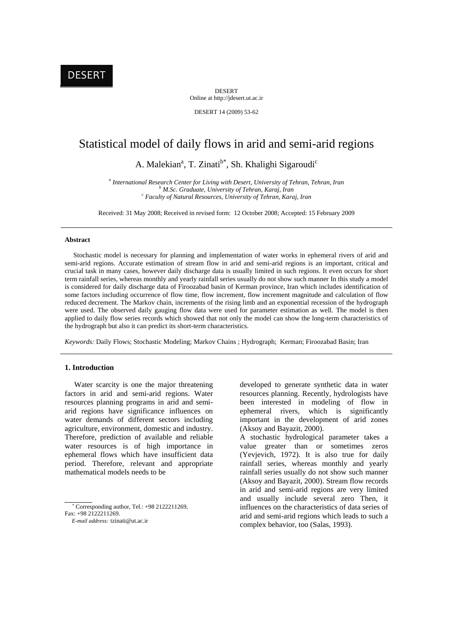DESERT Online at http://jdesert.ut.ac.ir

DESERT 14 (2009) 53-62

# Statistical model of daily flows in arid and semi-arid regions

A. Malekian<sup>a</sup>, T. Zinati<sup>b\*</sup>, Sh. Khalighi Sigaroudi<sup>c</sup>

*a International Research Center for Living with Desert, University of Tehran, Tehran, Iran <sup>b</sup> M.Sc. Graduate, University of Tehran, Karaj, Iran c Faculty of Natural Resources, University of Tehran, Karaj, Iran*

Received: 31 May 2008; Received in revised form: 12 October 2008; Accepted: 15 February 2009

# **Abstract**

 Stochastic model is necessary for planning and implementation of water works in ephemeral rivers of arid and semi-arid regions. Accurate estimation of stream flow in arid and semi-arid regions is an important, critical and crucial task in many cases, however daily discharge data is usually limited in such regions. It even occurs for short term rainfall series, whereas monthly and yearly rainfall series usually do not show such manner In this study a model is considered for daily discharge data of Firoozabad basin of Kerman province, Iran which includes identification of some factors including occurrence of flow time, flow increment, flow increment magnitude and calculation of flow reduced decrement. The Markov chain, increments of the rising limb and an exponential recession of the hydrograph were used. The observed daily gauging flow data were used for parameter estimation as well. The model is then applied to daily flow series records which showed that not only the model can show the long-term characteristics of the hydrograph but also it can predict its short-term characteristics.

*Keywords:* Daily Flows; Stochastic Modeling; Markov Chains ; Hydrograph; Kerman; Firoozabad Basin; Iran

# **1. Introduction**

 Water scarcity is one the major threatening factors in arid and semi-arid regions. Water resources planning programs in arid and semiarid regions have significance influences on water demands of different sectors including agriculture, environment, domestic and industry. Therefore, prediction of available and reliable water resources is of high importance in ephemeral flows which have insufficient data period. Therefore, relevant and appropriate mathematical models needs to be

 Corresponding author, Tel.: +98 2122211269, Fax: +98 2122211269.

developed to generate synthetic data in water resources planning. Recently, hydrologists have been interested in modeling of flow in ephemeral rivers, which is significantly important in the development of arid zones (Aksoy and Bayazit, 2000).

A stochastic hydrological parameter takes a value greater than or sometimes zeros (Yevjevich, 1972). It is also true for daily rainfall series, whereas monthly and yearly rainfall series usually do not show such manner (Aksoy and Bayazit, 2000). Stream flow records in arid and semi-arid regions are very limited and usually include several zero Then, it influences on the characteristics of data series of arid and semi-arid regions which leads to such a complex behavior, too (Salas, 1993).

*E-mail address:* tzinati@ut.ac.ir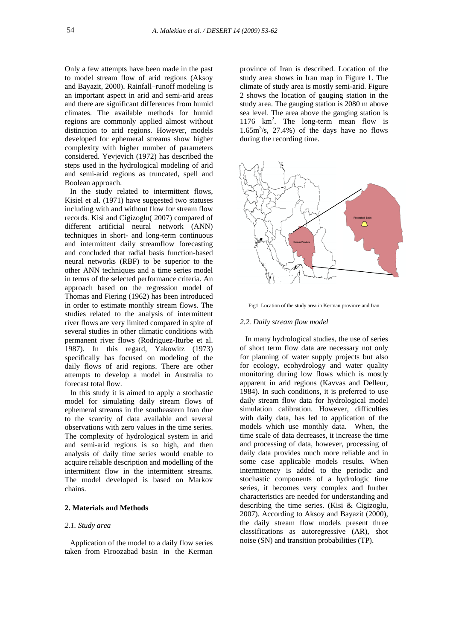Only a few attempts have been made in the past to model stream flow of arid regions (Aksoy and Bayazit, 2000). Rainfall–runoff modeling is an important aspect in arid and semi-arid areas and there are significant differences from humid climates. The available methods for humid regions are commonly applied almost without distinction to arid regions. However, models developed for ephemeral streams show higher complexity with higher number of parameters considered. Yevjevich (1972) has described the steps used in the hydrological modeling of arid and semi-arid regions as truncated, spell and Boolean approach.

In the study related to intermittent flows, Kisiel et al. (1971) have suggested two statuses including with and without flow for stream flow records. Kisi and Cigizoglu( 2007) compared of different artificial neural network (ANN) techniques in short- and long-term continuous and intermittent daily streamflow forecasting and concluded that radial basis function-based neural networks (RBF) to be superior to the other ANN techniques and a time series model in terms of the selected performance criteria. An approach based on the regression model of Thomas and Fiering (1962) has been introduced in order to estimate monthly stream flows. The studies related to the analysis of intermittent river flows are very limited compared in spite of several studies in other climatic conditions with permanent river flows (Rodriguez-Iturbe et al. 1987). In this regard, Yakowitz (1973) specifically has focused on modeling of the daily flows of arid regions. There are other attempts to develop a model in Australia to forecast total flow.

In this study it is aimed to apply a stochastic model for simulating daily stream flows of ephemeral streams in the southeastern Iran due to the scarcity of data available and several observations with zero values in the time series. The complexity of hydrological system in arid and semi-arid regions is so high, and then analysis of daily time series would enable to acquire reliable description and modelling of the intermittent flow in the intermittent streams. The model developed is based on Markov chains.

## **2. Materials and Methods**

# *2.1. Study area*

Application of the model to a daily flow series taken from Firoozabad basin in the Kerman province of Iran is described. Location of the study area shows in Iran map in Figure 1. The climate of study area is mostly semi-arid. Figure 2 shows the location of gauging station in the study area. The gauging station is 2080 m above sea level. The area above the gauging station is 1176 km<sup>2</sup> . The long-term mean flow is  $1.65m<sup>3</sup>/s$ ,  $27.4%$ ) of the days have no flows during the recording time.



Fig1. Location of the study area in Kerman province and Iran

#### *2.2. Daily stream flow model*

In many hydrological studies, the use of series of short term flow data are necessary not only for planning of water supply projects but also for ecology, ecohydrology and water quality monitoring during low flows which is mostly apparent in arid regions (Kavvas and Delleur, 1984). In such conditions, it is preferred to use daily stream flow data for hydrological model simulation calibration. However, difficulties with daily data, has led to application of the models which use monthly data. When, the time scale of data decreases, it increase the time and processing of data, however, processing of daily data provides much more reliable and in some case applicable models results. When intermittency is added to the periodic and stochastic components of a hydrologic time series, it becomes very complex and further characteristics are needed for understanding and describing the time series. (Kisi & Cigizoglu, 2007). According to Aksoy and Bayazit (2000), the daily stream flow models present three classifications as autoregressive (AR), shot noise (SN) and transition probabilities (TP).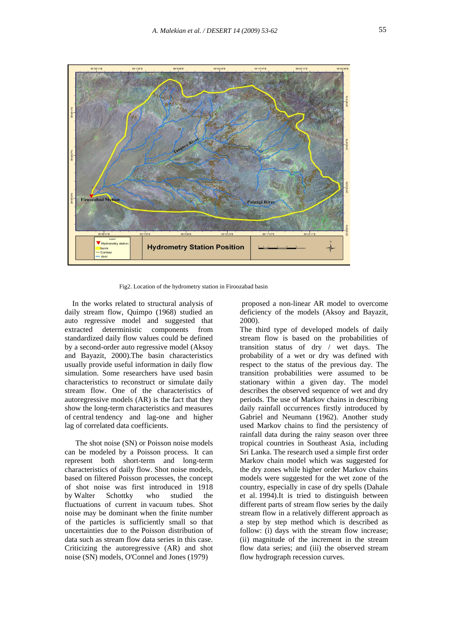

Fig2. Location of the hydrometry station in Firoozabad basin

 In the works related to structural analysis of daily stream flow, Quimpo (1968) studied an auto regressive model and suggested that extracted deterministic components from standardized daily flow values could be defined by a second-order auto regressive model (Aksoy and Bayazit, 2000).The basin characteristics usually provide useful information in daily flow simulation. Some researchers have used basin characteristics to reconstruct or simulate daily stream flow. One of the characteristics of autoregressive models (AR) is the fact that they show the long-term characteristics and measures of central tendency and lag-one and higher lag of correlated data coefficients.

The shot noise (SN) or Poisson noise models can be modeled by a Poisson process. It can represent both short-term and long-term characteristics of daily flow. Shot noise models, based on filtered Poisson processes, the concept of shot noise was first introduced in 1918 by Walter Schottky who studied the fluctuations of current in vacuum tubes. Shot noise may be dominant when the finite number of the particles is sufficiently small so that uncertainties due to the Poisson distribution of data such as stream flow data series in this case. Criticizing the autoregressive (AR) and shot noise (SN) models, O'Connel and Jones (1979)

proposed a non-linear AR model to overcome deficiency of the models (Aksoy and Bayazit, 2000).

The third type of developed models of daily stream flow is based on the probabilities of transition status of dry / wet days. The probability of a wet or dry was defined with respect to the status of the previous day. The transition probabilities were assumed to be stationary within a given day. The model describes the observed sequence of wet and dry periods. The use of Markov chains in describing daily rainfall occurrences firstly introduced by Gabriel and Neumann (1962). Another study used Markov chains to find the persistency of rainfall data during the rainy season over three tropical countries in Southeast Asia, including Sri Lanka. The research used a simple first order Markov chain model which was suggested for the dry zones while higher order Markov chains models were suggested for the wet zone of the country, especially in case of dry spells (Dahale et al. 1994).It is tried to distinguish between different parts of stream flow series by the daily stream flow in a relatively different approach as a step by step method which is described as follow: (i) days with the stream flow increase; (ii) magnitude of the increment in the stream flow data series; and (iii) the observed stream flow hydrograph recession curves.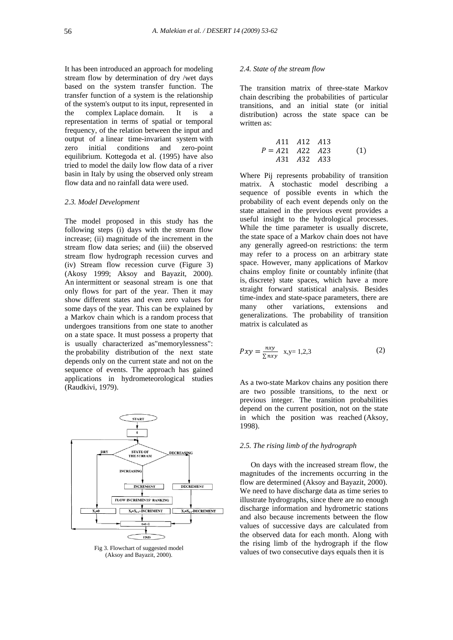It has been introduced an approach for modeling stream flow by determination of dry /wet days based on the system transfer function. The transfer function of a system is the relationship of the system's output to its input, represented in the complex Laplace domain. It is a representation in terms of spatial or temporal frequency, of the relation between the input and output of a linear time-invariant system with zero initial conditions and zero-point equilibrium. Kottegoda et al. (1995) have also tried to model the daily low flow data of a river basin in Italy by using the observed only stream flow data and no rainfall data were used.

#### *2.3. Model Development*

The model proposed in this study has the following steps (i) days with the stream flow increase; (ii) magnitude of the increment in the stream flow data series; and (iii) the observed stream flow hydrograph recession curves and (iv) Stream flow recession curve (Figure 3) (Akosy 1999; Aksoy and Bayazit, 2000). An intermittent or seasonal stream is one that only flows for part of the year. Then it may show different states and even zero values for some days of the year. This can be explained by a Markov chain which is a random process that undergoes transitions from one state to another on a state space. It must possess a property that is usually characterized as"memorylessness": the probability distribution of the next state depends only on the current state and not on the sequence of events. The approach has gained applications in hydrometeorological studies (Raudkivi, 1979).



Fig 3. Flowchart of suggested model (Aksoy and Bayazit, 2000).

# *2.4. State of the stream flow*

The transition matrix of three-state Markov chain describing the probabilities of particular transitions, and an initial state (or initial distribution) across the state space can be written as:

$$
A11 \tA12 \tA13P = A21 \tA22 \tA23A31 \tA32 \tA33
$$
 (1)

Where Pij represents probability of transition matrix. A stochastic model describing a sequence of possible events in which the probability of each event depends only on the state attained in the previous event provides a useful insight to the hydrological processes. While the time parameter is usually discrete, the state space of a Markov chain does not have any generally agreed-on restrictions: the term may refer to a process on an arbitrary state space. However, many applications of Markov chains employ finite or countably infinite (that is, discrete) state spaces, which have a more straight forward statistical analysis. Besides time-index and state-space parameters, there are many other variations, extensions and generalizations. The probability of transition matrix is calculated as

$$
Pxy = \frac{nxy}{\sum nxy} \quad x, y = 1, 2, 3 \tag{2}
$$

As a two-state Markov chains any position there are two possible transitions, to the next or previous integer. The transition probabilities depend on the current position, not on the state in which the position was reached (Aksoy, 1998).

### *2.5. The rising limb of the hydrograph*

On days with the increased stream flow, the magnitudes of the increments occurring in the flow are determined (Aksoy and Bayazit, 2000). We need to have discharge data as time series to illustrate hydrographs, since there are no enough discharge information and hydrometric stations and also because increments between the flow values of successive days are calculated from the observed data for each month. Along with the rising limb of the hydrograph if the flow values of two consecutive days equals then it is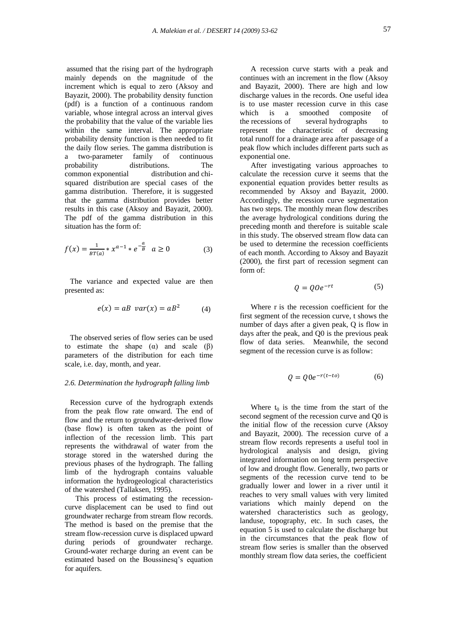assumed that the rising part of the hydrograph mainly depends on the magnitude of the increment which is equal to zero (Aksoy and Bayazit, 2000). The probability density function (pdf) is a function of a continuous random variable, whose integral across an interval gives the probability that the value of the variable lies within the same interval. The appropriate probability density function is then needed to fit the daily flow series. The gamma distribution is a two-parameter family of continuous probability distributions. The common exponential distribution and chisquared distribution are special cases of the gamma distribution. Therefore, it is suggested that the gamma distribution provides better results in this case (Aksoy and Bayazit, 2000). The pdf of the gamma distribution in this situation has the form of:

$$
f(x) = \frac{1}{BT(a)} * x^{a-1} * e^{-\frac{a}{B}} \quad a \ge 0
$$
 (3)

The variance and expected value are then presented as:

$$
e(x) = aB \quad var(x) = aB^2 \tag{4}
$$

The observed series of flow series can be used to estimate the shape  $(\alpha)$  and scale  $(\beta)$ parameters of the distribution for each time scale, i.e. day, month, and year.

#### *2.6. Determination the hydrograph falling limb*

Recession curve of the hydrograph extends from the peak flow rate onward. The end of flow and the return to groundwater-derived flow (base flow) is often taken as the point of inflection of the recession limb. This part represents the withdrawal of water from the storage stored in the watershed during the previous phases of the hydrograph. The falling limb of the hydrograph contains valuable information the hydrogeological characteristics of the watershed (Tallaksen, 1995).

This process of estimating the recessioncurve displacement can be used to find out groundwater recharge from stream flow records. The method is based on the premise that the stream flow-recession curve is displaced upward during periods of groundwater recharge. Ground-water recharge during an event can be estimated based on the Boussinesq's equation for aquifers.

A recession curve starts with a peak and continues with an increment in the flow (Aksoy and Bayazit, 2000). There are high and low discharge values in the records. One useful idea is to use master recession curve in this case which is a smoothed composite of the recessions of several hydrographs to represent the characteristic of decreasing total runoff for a drainage area after passage of a peak flow which includes different parts such as exponential one.

After investigating various approaches to calculate the recession curve it seems that the exponential equation provides better results as recommended by Aksoy and Bayazit, 2000. Accordingly, the recession curve segmentation has two steps. The monthly mean flow describes the average hydrological conditions during the preceding month and therefore is suitable scale in this study. The observed stream flow data can be used to determine the recession coefficients of each month. According to Aksoy and Bayazit (2000), the first part of recession segment can form of:

$$
Q = QOe^{-rt} \tag{5}
$$

Where r is the recession coefficient for the first segment of the recession curve, t shows the number of days after a given peak, Q is flow in days after the peak, and Q0 is the previous peak flow of data series. Meanwhile, the second segment of the recession curve is as follow:

$$
Q = Q0e^{-r(t-to)}\tag{6}
$$

Where  $t_0$  is the time from the start of the second segment of the recession curve and Q0 is the initial flow of the recession curve (Aksoy and Bayazit, 2000). The recession curve of a stream flow records represents a useful tool in hydrological analysis and design, giving integrated information on long term perspective of low and drought flow. Generally, two parts or segments of the recession curve tend to be gradually lower and lower in a river until it reaches to very small values with very limited variations which mainly depend on the watershed characteristics such as geology, landuse, topography, etc. In such cases, the equation 5 is used to calculate the discharge but in the circumstances that the peak flow of stream flow series is smaller than the observed monthly stream flow data series, the coefficient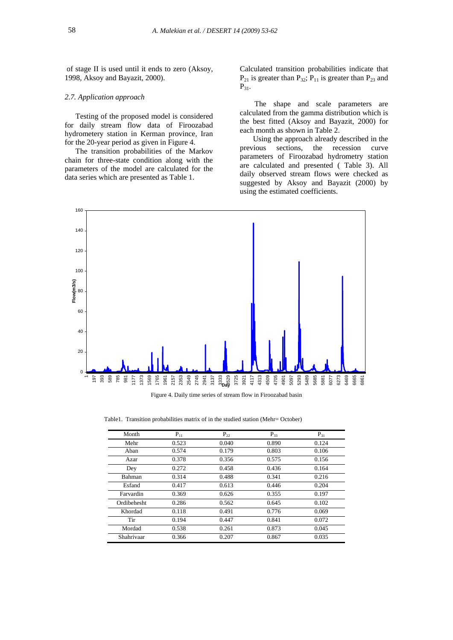of stage II is used until it ends to zero (Aksoy, 1998, Aksoy and Bayazit, 2000).

## *2.7. Application approach*

Testing of the proposed model is considered for daily stream flow data of Firoozabad hydrometery station in Kerman province, Iran for the 20-year period as given in Figure 4.

The transition probabilities of the Markov chain for three-state condition along with the parameters of the model are calculated for the data series which are presented as Table 1.

Calculated transition probabilities indicate that  $P_{21}$  is greater than  $P_{32}$ ;  $P_{11}$  is greater than  $P_{23}$  and  $P_{31}$ .

The shape and scale parameters are calculated from the gamma distribution which is the best fitted (Aksoy and Bayazit, 2000) for each month as shown in Table 2.

Using the approach already described in the previous sections, the recession curve parameters of Firoozabad hydrometry station are calculated and presented ( Table 3). All daily observed stream flows were checked as suggested by Aksoy and Bayazit (2000) by using the estimated coefficients. Daily streamflow series



Table1. Transition probabilities matrix of in the studied station (Mehr= October)

| Month         | $P_{11}$ | $P_{22}$ | $P_{33}$ | $P_{31}$ |
|---------------|----------|----------|----------|----------|
| Mehr          | 0.523    | 0.040    | 0.890    | 0.124    |
| Aban          | 0.574    | 0.179    | 0.803    | 0.106    |
| Azar          | 0.378    | 0.356    | 0.575    | 0.156    |
| Dey           | 0.272    | 0.458    | 0.436    | 0.164    |
| <b>Bahman</b> | 0.314    | 0.488    | 0.341    | 0.216    |
| Esfand        | 0.417    | 0.613    | 0.446    | 0.204    |
| Farvardin     | 0.369    | 0.626    | 0.355    | 0.197    |
| Ordibehesht   | 0.286    | 0.562    | 0.645    | 0.102    |
| Khordad       | 0.118    | 0.491    | 0.776    | 0.069    |
| Tir           | 0.194    | 0.447    | 0.841    | 0.072    |
| Mordad        | 0.538    | 0.261    | 0.873    | 0.045    |
| Shahrivaar    | 0.366    | 0.207    | 0.867    | 0.035    |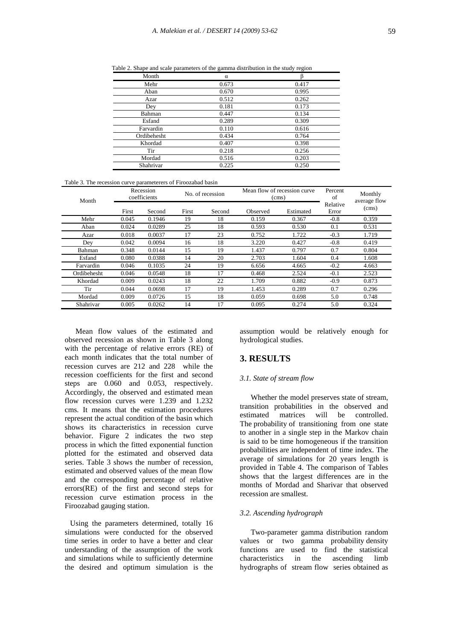| Month       | α     |       |
|-------------|-------|-------|
| Mehr        | 0.673 | 0.417 |
| Aban        | 0.670 | 0.995 |
| Azar        | 0.512 | 0.262 |
| Dey         | 0.181 | 0.173 |
| Bahman      | 0.447 | 0.134 |
| Esfand      | 0.289 | 0.309 |
| Farvardin   | 0.110 | 0.616 |
| Ordibehesht | 0.434 | 0.764 |
| Khordad     | 0.407 | 0.398 |
| Tir         | 0.218 | 0.256 |
| Mordad      | 0.516 | 0.203 |
| Shahrivar   | 0.225 | 0.250 |

Table 2. Shape and scale parameters of the gamma distribution in the study region

Table 3. The recession curve parameterers of Firoozabad basin

| Month       |       | Recession<br>coefficients |       | No. of recession |          | Mean flow of recession curve<br>(cms) |                   | Monthly<br>average flow |
|-------------|-------|---------------------------|-------|------------------|----------|---------------------------------------|-------------------|-------------------------|
|             | First | Second                    | First | Second           | Observed | Estimated                             | Relative<br>Error | (cms)                   |
| Mehr        | 0.045 | 0.1946                    | 19    | 18               | 0.159    | 0.367                                 | $-0.8$            | 0.359                   |
| Aban        | 0.024 | 0.0289                    | 25    | 18               | 0.593    | 0.530                                 | 0.1               | 0.531                   |
| Azar        | 0.018 | 0.0037                    | 17    | 23               | 0.752    | 1.722                                 | $-0.3$            | 1.719                   |
| Dey         | 0.042 | 0.0094                    | 16    | 18               | 3.220    | 0.427                                 | $-0.8$            | 0.419                   |
| Bahman      | 0.348 | 0.0144                    | 15    | 19               | 1.437    | 0.797                                 | 0.7               | 0.804                   |
| Esfand      | 0.080 | 0.0388                    | 14    | 20               | 2.703    | 1.604                                 | 0.4               | 1.608                   |
| Farvardin   | 0.046 | 0.1035                    | 24    | 19               | 6.656    | 4.665                                 | $-0.2$            | 4.663                   |
| Ordibehesht | 0.046 | 0.0548                    | 18    | 17               | 0.468    | 2.524                                 | $-0.1$            | 2.523                   |
| Khordad     | 0.009 | 0.0243                    | 18    | 22               | 1.709    | 0.882                                 | $-0.9$            | 0.873                   |
| Tir         | 0.044 | 0.0698                    | 17    | 19               | 1.453    | 0.289                                 | 0.7               | 0.296                   |
| Mordad      | 0.009 | 0.0726                    | 15    | 18               | 0.059    | 0.698                                 | 5.0               | 0.748                   |
| Shahrivar   | 0.005 | 0.0262                    | 14    | 17               | 0.095    | 0.274                                 | 5.0               | 0.324                   |

Mean flow values of the estimated and observed recession as shown in Table 3 along with the percentage of relative errors (RE) of each month indicates that the total number of recession curves are 212 and 228 while the recession coefficients for the first and second steps are 0.060 and 0.053, respectively. Accordingly, the observed and estimated mean flow recession curves were 1.239 and 1.232 cms. It means that the estimation procedures represent the actual condition of the basin which shows its characteristics in recession curve behavior. Figure 2 indicates the two step process in which the fitted exponential function plotted for the estimated and observed data series. Table 3 shows the number of recession, estimated and observed values of the mean flow and the corresponding percentage of relative errors(RE) of the first and second steps for recession curve estimation process in the Firoozabad gauging station.

Using the parameters determined, totally 16 simulations were conducted for the observed time series in order to have a better and clear understanding of the assumption of the work and simulations while to sufficiently determine the desired and optimum simulation is the

assumption would be relatively enough for hydrological studies.

# **3. RESULTS**

# *3.1. State of stream flow*

Whether the model preserves state of stream, transition probabilities in the observed and estimated matrices will be controlled. The probability of transitioning from one state to another in a single step in the Markov chain is said to be time homogeneous if the transition probabilities are independent of time index. The average of simulations for 20 years length is provided in Table 4. The comparison of Tables shows that the largest differences are in the months of Mordad and Sharivar that observed recession are smallest.

# *3.2. Ascending hydrograph*

Two-parameter gamma distribution random values or two gamma probability density functions are used to find the statistical characteristics in the ascending limb hydrographs of stream flow series obtained as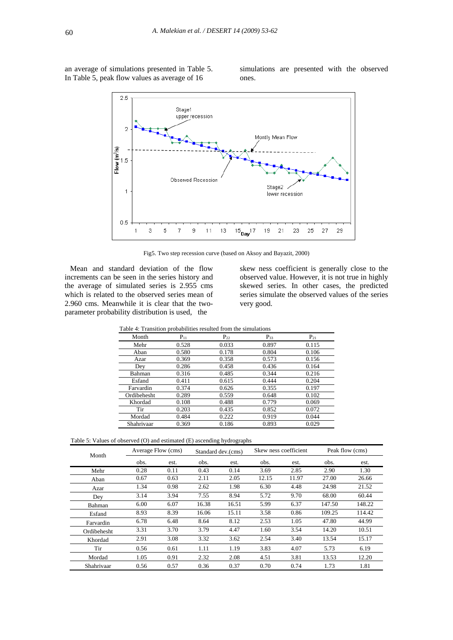an average of simulations presented in Table 5. In Table 5, peak flow values as average of 16

simulations are presented with the observed ones.



Fig5. Two step recession curve (based on Aksoy and Bayazit, 2000)

Mean and standard deviation of the flow increments can be seen in the series history and the average of simulated series is 2.955 cms which is related to the observed series mean of 2.960 cms. Meanwhile it is clear that the twoparameter probability distribution is used, the

skew ness coefficient is generally close to the observed value. However, it is not true in highly skewed series. In other cases, the predicted series simulate the observed values of the series very good.

|             |          | Table 4: Transition probabilities resulted from the simulations |          |          |
|-------------|----------|-----------------------------------------------------------------|----------|----------|
| Month       | $P_{11}$ | $P_{22}$                                                        | $P_{33}$ | $P_{21}$ |
| Mehr        | 0.528    | 0.033                                                           | 0.897    | 0.115    |
| Aban        | 0.580    | 0.178                                                           | 0.804    | 0.106    |
| Azar        | 0.369    | 0.358                                                           | 0.573    | 0.156    |
| Dey         | 0.286    | 0.458                                                           | 0.436    | 0.164    |
| Bahman      | 0.316    | 0.485                                                           | 0.344    | 0.216    |
| Esfand      | 0.411    | 0.615                                                           | 0.444    | 0.204    |
| Farvardin   | 0.374    | 0.626                                                           | 0.355    | 0.197    |
| Ordibehesht | 0.289    | 0.559                                                           | 0.648    | 0.102    |
| Khordad     | 0.108    | 0.488                                                           | 0.779    | 0.069    |
| Tir         | 0.203    | 0.435                                                           | 0.852    | 0.072    |
| Mordad      | 0.484    | 0.222                                                           | 0.919    | 0.044    |
| Shahrivaar  | 0.369    | 0.186                                                           | 0.893    | 0.029    |

Table 4: Transition probabilities resulted from the simulations

| Table 5: Values of observed (O) and estimated (E) ascending hydrographs |  |  |  |
|-------------------------------------------------------------------------|--|--|--|
|-------------------------------------------------------------------------|--|--|--|

| Month       |      | Average Flow (cms) |       | Standard dev.(cms) | Skew ness coefficient<br>Peak flow (cms) |       |        |        |
|-------------|------|--------------------|-------|--------------------|------------------------------------------|-------|--------|--------|
|             | obs. | est.               | obs.  | est.               | obs.                                     | est.  | obs.   | est.   |
| Mehr        | 0.28 | 0.11               | 0.43  | 0.14               | 3.69                                     | 2.85  | 2.90   | 1.30   |
| Aban        | 0.67 | 0.63               | 2.11  | 2.05               | 12.15                                    | 11.97 | 27.00  | 26.66  |
| Azar        | 1.34 | 0.98               | 2.62  | 1.98               | 6.30                                     | 4.48  | 24.98  | 21.52  |
| Dey         | 3.14 | 3.94               | 7.55  | 8.94               | 5.72                                     | 9.70  | 68.00  | 60.44  |
| Bahman      | 6.00 | 6.07               | 16.38 | 16.51              | 5.99                                     | 6.37  | 147.50 | 148.22 |
| Esfand      | 8.93 | 8.39               | 16.06 | 15.11              | 3.58                                     | 0.86  | 109.25 | 114.42 |
| Farvardin   | 6.78 | 6.48               | 8.64  | 8.12               | 2.53                                     | 1.05  | 47.80  | 44.99  |
| Ordibehesht | 3.31 | 3.70               | 3.79  | 4.47               | 1.60                                     | 3.54  | 14.20  | 10.51  |
| Khordad     | 2.91 | 3.08               | 3.32  | 3.62               | 2.54                                     | 3.40  | 13.54  | 15.17  |
| Tir         | 0.56 | 0.61               | 1.11  | 1.19               | 3.83                                     | 4.07  | 5.73   | 6.19   |
| Mordad      | 1.05 | 0.91               | 2.32  | 2.08               | 4.51                                     | 3.81  | 13.53  | 12.20  |
| Shahrivaar  | 0.56 | 0.57               | 0.36  | 0.37               | 0.70                                     | 0.74  | 1.73   | 1.81   |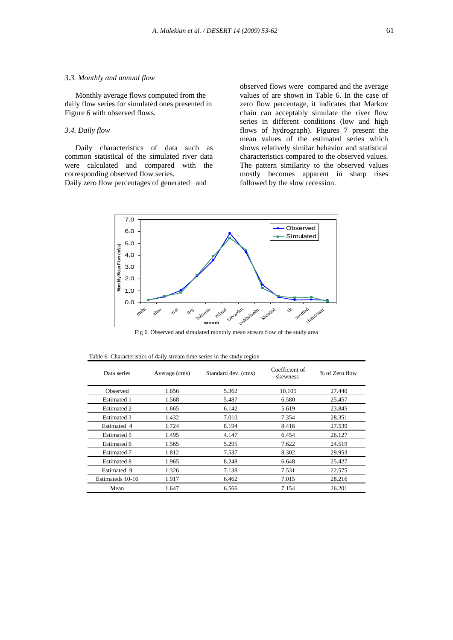# *3.3. Monthly and annual flow*

Monthly average flows computed from the daily flow series for simulated ones presented in Figure 6 with observed flows.

# *3.4. Daily flow*

Daily characteristics of data such as common statistical of the simulated river data were calculated and compared with the corresponding observed flow series.

Daily zero flow percentages of generated and

observed flows were compared and the average values of are shown in Table 6. In the case of zero flow percentage, it indicates that Markov chain can acceptably simulate the river flow series in different conditions (low and high flows of hydrograph). Figures 7 present the mean values of the estimated series which shows relatively similar behavior and statistical characteristics compared to the observed values. The pattern similarity to the observed values mostly becomes apparent in sharp rises followed by the slow recession.



Fig 6. Observed and simulated monthly mean stream flow of the study area

| Data series        | Average (cms) | Standard dev. (cms) | Coefficient of<br>skewness | % of Zero flow |
|--------------------|---------------|---------------------|----------------------------|----------------|
| Observed           | 1.656         | 5.362               | 10.105                     | 27.440         |
| Estimated 1        | 1.568         | 5.487               | 6.580                      | 25.457         |
| Estimated 2        | 1.665         | 6.142               | 5.619                      | 23.845         |
| Estimated 3        | 1.432         | 7.010               | 7.354                      | 28.351         |
| Estimated 4        | 1.724         | 8.194               | 8.416                      | 27.539         |
| Estimated 5        | 1.495         | 4.147               | 6.454                      | 26.127         |
| Estimated 6        | 1.565         | 5.295               | 7.622                      | 24.519         |
| <b>Estimated 7</b> | 1.812         | 7.537               | 8.302                      | 29.953         |
| <b>Estimated 8</b> | 1.965         | 8.248               | 6.648                      | 25.427         |
| Estimated 9        | 1.326         | 7.138               | 7.531                      | 22.575         |
| Estimateds 10-16   | 1.917         | 6.462               | 7.015                      | 28.216         |
| Mean               | 1.647         | 6.566               | 7.154                      | 26.201         |

| Table 6: Characteristics of daily stream time series in the study region |  |  |  |
|--------------------------------------------------------------------------|--|--|--|
|                                                                          |  |  |  |